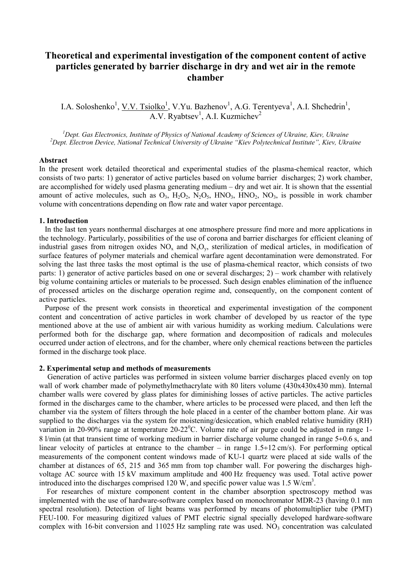# **Theoretical and experimental investigation of the component content of active particles generated by barrier discharge in dry and wet air in the remote chamber**

I.A. Soloshenko<sup>1</sup>, <u>V.V. Tsiolko<sup>1</sup></u>, V.Yu. Bazhenov<sup>1</sup>, A.G. Terentyeva<sup>1</sup>, A.I. Shchedrin<sup>1</sup>,  $\overline{A.V.}$  Ryabtsev<sup>1</sup>, A.I. Kuzmichev<sup>2</sup>

<sup>1</sup> Dept. Gas Electronics, Institute of Physics of National Academy of Sciences of Ukraine, Kiev, Ukraine <sup>2</sup> Dept. Gas Electronics, *Mational Technical University of Ukraine 2* Dept. *Electron Devise Mational Technical* <sup>2</sup>Dept. Electron Device, National Technical University of Ukraine "Kiev Polytechnical Institute", Kiev, Ukraine

#### **Abstract**

In the present work detailed theoretical and experimental studies of the plasma-chemical reactor, which consists of two parts: 1) generator of active particles based on volume barrier discharges; 2) work chamber, are accomplished for widely used plasma generating medium – dry and wet air. It is shown that the essential amount of active molecules, such as  $O_3$ ,  $H_2O_2$ ,  $N_2O_5$ ,  $HNO_3$ ,  $HNO_2$ ,  $NO_3$ , is possible in work chamber volume with concentrations depending on flow rate and water vapor percentage.

## **1. Introduction**

 In the last ten years nonthermal discharges at one atmosphere pressure find more and more applications in the technology. Particularly, possibilities of the use of corona and barrier discharges for efficient cleaning of industrial gases from nitrogen oxides  $NO_x$  and  $N_xO_y$ , sterilization of medical articles, in modification of surface features of polymer materials and chemical warfare agent decontamination were demonstrated. For solving the last three tasks the most optimal is the use of plasma-chemical reactor, which consists of two parts: 1) generator of active particles based on one or several discharges; 2) – work chamber with relatively big volume containing articles or materials to be processed. Such design enables elimination of the influence of processed articles on the discharge operation regime and, consequently, on the component content of active particles.

 Purpose of the present work consists in theoretical and experimental investigation of the component content and concentration of active particles in work chamber of developed by us reactor of the type mentioned above at the use of ambient air with various humidity as working medium. Calculations were performed both for the discharge gap, where formation and decomposition of radicals and molecules occurred under action of electrons, and for the chamber, where only chemical reactions between the particles formed in the discharge took place.

# **2. Experimental setup and methods of measurements**

 Generation of active particles was performed in sixteen volume barrier discharges placed evenly on top wall of work chamber made of polymethylmethacrylate with 80 liters volume (430x430x430 mm). Internal chamber walls were covered by glass plates for diminishing losses of active particles. The active particles formed in the discharges came to the chamber, where articles to be processed were placed, and then left the chamber via the system of filters through the hole placed in a center of the chamber bottom plane. Air was supplied to the discharges via the system for moistening/desiccation, which enabled relative humidity (RH) variation in 20-90% range at temperature 20-22 $^0$ C. Volume rate of air purge could be adjusted in range 1-8 l/min (at that transient time of working medium in barrier discharge volume changed in range 5÷0.6 s, and linear velocity of particles at entrance to the chamber – in range  $1.5 \div 12$  cm/s). For performing optical measurements of the component content windows made of KU-1 quartz were placed at side walls of the chamber at distances of 65, 215 and 365 mm from top chamber wall. For powering the discharges highvoltage AC source with 15 kV maximum amplitude and 400 Hz frequency was used. Total active power introduced into the discharges comprised 120 W, and specific power value was 1.5 W/cm<sup>3</sup>.

 For researches of mixture component content in the chamber absorption spectroscopy method was implemented with the use of hardware-software complex based on monochromator MDR-23 (having 0.1 nm spectral resolution). Detection of light beams was performed by means of photomultiplier tube (PMT) FEU-100. For measuring digitized values of PMT electric signal specially developed hardware-software complex with 16-bit conversion and 11025 Hz sampling rate was used.  $NO<sub>3</sub>$  concentration was calculated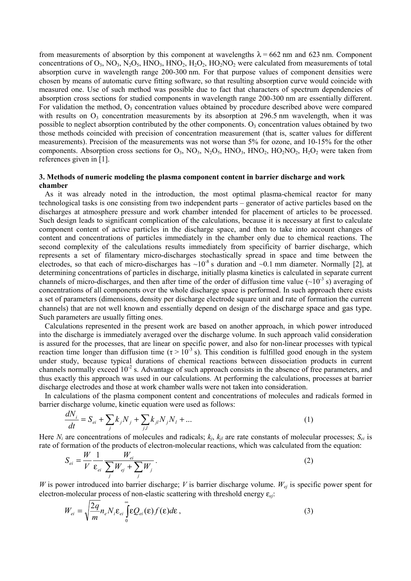from measurements of absorption by this component at wavelengths  $\lambda = 662$  nm and 623 nm. Component concentrations of  $O_3$ , N $O_3$ , N<sub>2</sub>O<sub>5</sub>, HNO<sub>3</sub>, HNO<sub>2</sub>, H<sub>2</sub>O<sub>2</sub>, HO<sub>2</sub>NO<sub>2</sub> were calculated from measurements of total absorption curve in wavelength range 200-300 nm. For that purpose values of component densities were chosen by means of automatic curve fitting software, so that resulting absorption curve would coincide with measured one. Use of such method was possible due to fact that characters of spectrum dependencies of absorption cross sections for studied components in wavelength range 200-300 nm are essentially different. For validation the method, O<sub>3</sub> concentration values obtained by procedure described above were compared with results on  $O_3$  concentration measurements by its absorption at 296.5 nm wavelength, when it was possible to neglect absorption contributed by the other components.  $O_3$  concentration values obtained by two those methods coincided with precision of concentration measurement (that is, scatter values for different measurements). Precision of the measurements was not worse than 5% for ozone, and 10-15% for the other components. Absorption cross sections for  $O_3$ ,  $NO_3$ ,  $N_2O_5$ ,  $HNO_3$ ,  $HNO_2$ ,  $HO_2NO_2$ ,  $H_2O_2$  were taken from references given in [1].

# **3. Methods of numeric modeling the plasma component content in barrier discharge and work chamber**

 As it was already noted in the introduction, the most optimal plasma-chemical reactor for many technological tasks is one consisting from two independent parts – generator of active particles based on the discharges at atmosphere pressure and work chamber intended for placement of articles to be processed. Such design leads to significant complication of the calculations, because it is necessary at first to calculate component content of active particles in the discharge space, and then to take into account changes of content and concentrations of particles immediately in the chamber only due to chemical reactions. The second complexity of the calculations results immediately from specificity of barrier discharge, which represents a set of filamentary micro-discharges stochastically spread in space and time between the electrodes, so that each of micro-discharges has  $\sim 10^{-8}$  s duration and  $\sim 0.1$  mm diameter. Normally [2], at determining concentrations of particles in discharge, initially plasma kinetics is calculated in separate current channels of micro-discharges, and then after time of the order of diffusion time value  $({\sim}10^{-3} s)$  averaging of concentrations of all components over the whole discharge space is performed. In such approach there exists a set of parameters (dimensions, density per discharge electrode square unit and rate of formation the current channels) that are not well known and essentially depend on design of the discharge space and gas type. Such parameters are usually fitting ones.

 Calculations represented in the present work are based on another approach, in which power introduced into the discharge is immediately averaged over the discharge volume. In such approach valid consideration is assured for the processes, that are linear on specific power, and also for non-linear processes with typical reaction time longer than diffusion time ( $\tau > 10^{-3}$  s). This condition is fulfilled good enough in the system under study, because typical durations of chemical reactions between dissociation products in current channels normally exceed 10<sup>-2</sup> s. Advantage of such approach consists in the absence of free parameters, and thus exactly this approach was used in our calculations. At performing the calculations, processes at barrier discharge electrodes and those at work chamber walls were not taken into consideration.

 In calculations of the plasma component content and concentrations of molecules and radicals formed in barrier discharge volume, kinetic equation were used as follows:

$$
\frac{dN_i}{dt} = S_{ei} + \sum_j k_j N_j + \sum_{j,l} k_{jl} N_j N_l + \dots
$$
 (1)

Here  $N_i$  are concentrations of molecules and radicals;  $k_i$ ,  $k_i$  are rate constants of molecular processes;  $S_{ei}$  is rate of formation of the products of electron-molecular reactions, which was calculated from the equation:

$$
S_{ei} = \frac{W}{V} \frac{1}{\varepsilon_{ei}} \frac{W_{ei}}{\sum_{j} W_{ej} + \sum_{j} W_{j}}.
$$
 (2)

*W* is power introduced into barrier discharge; *V* is barrier discharge volume.  $W_{ej}$  is specific power spent for electron-molecular process of non-elastic scattering with threshold energy ε*ej*:

$$
W_{ei} = \sqrt{\frac{2q}{m}} n_e N_i \varepsilon_{ei} \int_0^\infty \varepsilon Q_{ei}(\varepsilon) f(\varepsilon) d\varepsilon , \qquad (3)
$$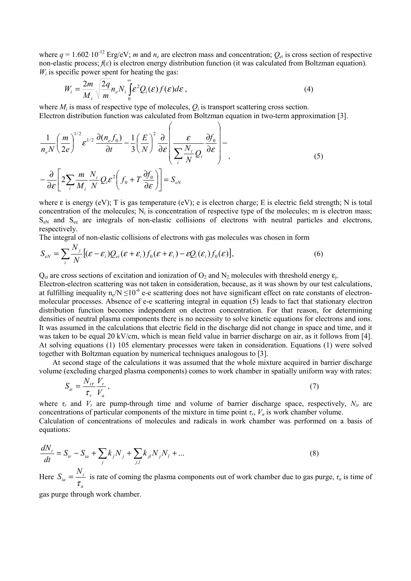where  $q = 1.602 \cdot 10^{-12}$  Erg/eV; *m* and  $n_e$  are electron mass and concentration;  $Q_{ei}$  is cross section of respective non-elastic process;  $f(\varepsilon)$  is electron energy distribution function (it was calculated from Boltzman equation).  $W_i$  is specific power spent for heating the gas:

$$
W_i = \frac{2m}{M_i} \sqrt{\frac{2q}{m}} n_e N_i \int_0^\infty \mathcal{E}^2 Q_i(\mathcal{E}) f(\mathcal{E}) d\mathcal{E}, \tag{4}
$$

where  $M_i$  is mass of respective type of molecules,  $Q_i$  is transport scattering cross section. Electron distribution function was calculated from Boltzman equation in two-term approximation [3].

$$
\frac{1}{n_e N} \left(\frac{m}{2e}\right)^{1/2} \mathcal{E}^{1/2} \frac{\partial (n_e f_0)}{\partial t} - \frac{1}{3} \left(\frac{E}{N}\right)^2 \frac{\partial}{\partial \mathcal{E}} \left(\frac{\mathcal{E}}{\sum_i \frac{N_i}{N} Q_i} \frac{\partial f_0}{\partial \mathcal{E}}\right) - \frac{\partial}{\partial \mathcal{E}} \left[2 \sum_i \frac{m}{M_i} \frac{N_i}{N} Q_i \mathcal{E}^2 \left(f_0 + T \frac{\partial f_0}{\partial \mathcal{E}}\right)\right] = S_{eN}
$$
\n(5)

where  $\varepsilon$  is energy (eV); T is gas temperature (eV); e is electron charge; E is electric field strength; N is total concentration of the molecules;  $N_i$  is concentration of respective type of the molecules; m is electron mass; SeN and See are integrals of non-elastic collisions of electrons with neutral particles and electrons, respectively.

The integral of non-elastic collisions of electrons with gas molecules was chosen in form

$$
S_{eN} = \sum_{i} \frac{N_j}{N} \left[ (\varepsilon - \varepsilon_i) Q_{ei} (\varepsilon + \varepsilon_i) f_0 (\varepsilon + \varepsilon_i) - \varepsilon Q_i (\varepsilon_i) f_0 (\varepsilon) \right],
$$
 (6)

 $Q_{ei}$  are cross sections of excitation and ionization of  $Q_2$  and  $N_2$  molecules with threshold energy  $\varepsilon_i$ .

Electron-electron scattering was not taken in consideration, because, as it was shown by our test calculations, at fulfilling inequality  $n_e/N \le 10^{-6}$  e-e scattering does not have significant effect on rate constants of electronmolecular processes. Absence of e-e scattering integral in equation (5) leads to fact that stationary electron distribution function becomes independent on electron concentration. For that reason, for determining densities of neutral plasma components there is no necessity to solve kinetic equations for electrons and ions. It was assumed in the calculations that electric field in the discharge did not change in space and time, and it was taken to be equal 20 kV/cm, which is mean field value in barrier discharge on air, as it follows from [4]. At solving equations (1) 105 elementary processes were taken in consideration. Equations (1) were solved together with Boltzman equation by numerical techniques analogous to [3].

 At second stage of the calculations it was assumed that the whole mixture acquired in barrier discharge volume (excluding charged plasma components) comes to work chamber in spatially uniform way with rates:

$$
S_{ir} = \frac{N_{it}}{\tau_r} \frac{V_r}{V_a},\tag{7}
$$

where  $\tau_r$  and  $V_r$  are pump-through time and volume of barrier discharge space, respectively,  $N_{ir}$  are concentrations of particular components of the mixture in time point  $\tau_r$ ,  $V_a$  is work chamber volume. Calculation of concentrations of molecules and radicals in work chamber was performed on a basis of equations:

$$
\frac{dN_i}{dt} = S_{ir} - S_{ia} + \sum_j k_j N_j + \sum_{j,l} k_{jl} N_j N_l + \dots
$$
\n(8)

Here *a*  $S_{ia} = \frac{N_i}{\tau_a}$  is rate of coming the plasma components out of work chamber due to gas purge,  $\tau_a$  is time of

gas purge through work chamber.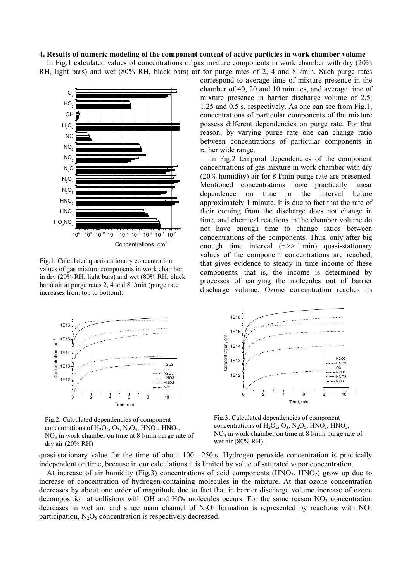## **4. Results of numeric modeling of the component content of active particles in work chamber volume**

 In Fig.1 calculated values of concentrations of gas mixture components in work chamber with dry (20% RH, light bars) and wet (80% RH, black bars) air for purge rates of 2, 4 and 8 l/min. Such purge rates



Fig.1. Calculated quasi-stationary concentration values of gas mixture components in work chamber in dry (20% RH, light bars) and wet (80% RH, black bars) air at purge rates 2, 4 and 8 l/min (purge rate increases from top to bottom).

correspond to average time of mixture presence in the chamber of 40, 20 and 10 minutes, and average time of mixture presence in barrier discharge volume of 2.5, 1.25 and 0.5 s, respectively. As one can see from Fig.1, concentrations of particular components of the mixture possess different dependencies on purge rate. For that reason, by varying purge rate one can change ratio between concentrations of particular components in rather wide range.

 In Fig.2 temporal dependencies of the component concentrations of gas mixture in work chamber with dry (20% humidity) air for 8 l/min purge rate are presented. Mentioned concentrations have practically linear dependence on time in the interval before approximately 1 minute. It is due to fact that the rate of their coming from the discharge does not change in time, and chemical reactions in the chamber volume do not have enough time to change ratios between concentrations of the components. Thus, only after big enough time interval  $(\tau \gg 1 \text{ min})$  quasi-stationary values of the component concentrations are reached, that gives evidence to steady in time income of these components, that is, the income is determined by processes of carrying the molecules out of barrier discharge volume. Ozone concentration reaches its



Fig.2. Calculated dependencies of component concentrations of  $H_2O_2$ ,  $O_3$ ,  $N_2O_5$ ,  $HNO_3$ ,  $HNO_2$ ,  $NO<sub>3</sub>$  in work chamber on time at 8 l/min purge rate of dry air (20% RH)

1E15 Concentration, cm<sup>3</sup> Concentration, cm<sup>-3</sup> 1E1 H2O2 1E13  $-$ - $HNO3$  $\overline{\Omega}$  $\cdots$  -  $\sim$  N2O5 1E12  $---HNO2$  NO3 0 2 4 6 8 10 Time, min

Fig.3. Calculated dependencies of component concentrations of  $H_2O_2$ ,  $O_3$ ,  $N_2O_5$ ,  $HNO_3$ ,  $HNO_2$ ,  $NO<sub>3</sub>$  in work chamber on time at 8 l/min purge rate of wet air (80% RH).

quasi-stationary value for the time of about  $100 - 250$  s. Hydrogen peroxide concentration is practically independent on time, because in our calculations it is limited by value of saturated vapor concentration.

1E16

At increase of air humidity (Fig.3) concentrations of acid components (HNO<sub>3</sub>, HNO<sub>2</sub>) grow up due to increase of concentration of hydrogen-containing molecules in the mixture. At that ozone concentration decreases by about one order of magnitude due to fact that in barrier discharge volume increase of ozone decomposition at collisions with OH and  $HO<sub>2</sub>$  molecules occurs. For the same reason  $NO<sub>3</sub>$  concentration decreases in wet air, and since main channel of  $N_2O_5$  formation is represented by reactions with  $NO_3$ participation,  $N_2O_5$  concentration is respectively decreased.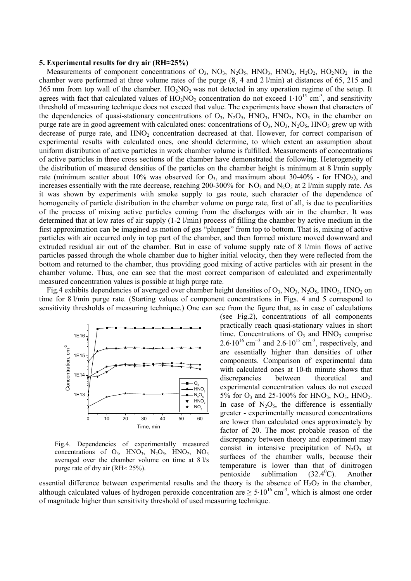#### **5. Experimental results for dry air (RH≈25%)**

Measurements of component concentrations of  $O_3$ ,  $NO_3$ ,  $N_2O_5$ ,  $HNO_3$ ,  $HNO_2$ ,  $H_2O_2$ ,  $HO_2NO_2$  in the chamber were performed at three volume rates of the purge (8, 4 and 2 l/min) at distances of 65, 215 and 365 mm from top wall of the chamber.  $HO_2NO_2$  was not detected in any operation regime of the setup. It agrees with fact that calculated values of  $HO_2NO_2$  concentration do not exceed  $1·10^{15}$  cm<sup>-3</sup>, and sensitivity threshold of measuring technique does not exceed that value. The experiments have shown that characters of the dependencies of quasi-stationary concentrations of  $O_3$ ,  $N_2O_5$ ,  $HNO_3$ ,  $HNO_2$ ,  $NO_3$  in the chamber on purge rate are in good agreement with calculated ones: concentrations of  $O_3$ ,  $NO_3$ ,  $N_2O_5$ ,  $HNO_3$  grew up with decrease of purge rate, and HNO<sub>2</sub> concentration decreased at that. However, for correct comparison of experimental results with calculated ones, one should determine, to which extent an assumption about uniform distribution of active particles in work chamber volume is fulfilled. Measurements of concentrations of active particles in three cross sections of the chamber have demonstrated the following. Heterogeneity of the distribution of measured densities of the particles on the chamber height is minimum at 8 l/min supply rate (minimum scatter about 10% was observed for  $O_3$ , and maximum about 30-40% - for  $HNO_2$ ), and increases essentially with the rate decrease, reaching 200-300% for NO<sub>3</sub> and N<sub>2</sub>O<sub>5</sub> at 2 l/min supply rate. As it was shown by experiments with smoke supply to gas route, such character of the dependence of homogeneity of particle distribution in the chamber volume on purge rate, first of all, is due to peculiarities of the process of mixing active particles coming from the discharges with air in the chamber. It was determined that at low rates of air supply (1-2 l/min) process of filling the chamber by active medium in the first approximation can be imagined as motion of gas "plunger" from top to bottom. That is, mixing of active particles with air occurred only in top part of the chamber, and then formed mixture moved downward and extruded residual air out of the chamber. But in case of volume supply rate of 8 l/min flows of active particles passed through the whole chamber due to higher initial velocity, then they were reflected from the bottom and returned to the chamber, thus providing good mixing of active particles with air present in the chamber volume. Thus, one can see that the most correct comparison of calculated and experimentally measured concentration values is possible at high purge rate.

Fig.4 exhibits dependencies of averaged over chamber height densities of  $O_3$ ,  $NO_3$ ,  $N_2O_5$ ,  $HNO_3$ ,  $HNO_2$  on time for 8 l/min purge rate. (Starting values of component concentrations in Figs. 4 and 5 correspond to sensitivity thresholds of measuring technique.) One can see from the figure that, as in case of calculations



Fig.4. Dependencies of experimentally measured concentrations of  $O_3$ , HNO<sub>3</sub>, N<sub>2</sub>O<sub>5</sub>, HNO<sub>2</sub>, NO<sub>3</sub> averaged over the chamber volume on time at 8 l/s purge rate of dry air (RH≈ 25%).

(see Fig.2), concentrations of all components practically reach quasi-stationary values in short time. Concentrations of  $O_3$  and  $HNO_3$  comprise 2.6⋅10<sup>16</sup> cm<sup>-3</sup> and 2.6⋅10<sup>15</sup> cm<sup>-3</sup>, respectively, and are essentially higher than densities of other components. Comparison of experimental data with calculated ones at 10-th minute shows that discrepancies between theoretical and experimental concentration values do not exceed 5% for  $O_3$  and 25-100% for HNO<sub>3</sub>, NO<sub>3</sub>, HNO<sub>2</sub>. In case of  $N_2O_5$ , the difference is essentially greater - experimentally measured concentrations are lower than calculated ones approximately by factor of 20. The most probable reason of the discrepancy between theory and experiment may consist in intensive precipitation of  $N_2O_5$  at surfaces of the chamber walls, because their temperature is lower than that of dinitrogen pentoxide sublimation  $(32.4^{\circ}C)$ . C). Another

essential difference between experimental results and the theory is the absence of  $H_2O_2$  in the chamber, although calculated values of hydrogen peroxide concentration are  $\geq 5 \cdot 10^{16}$  cm<sup>-3</sup>, which is almost one order of magnitude higher than sensitivity threshold of used measuring technique.